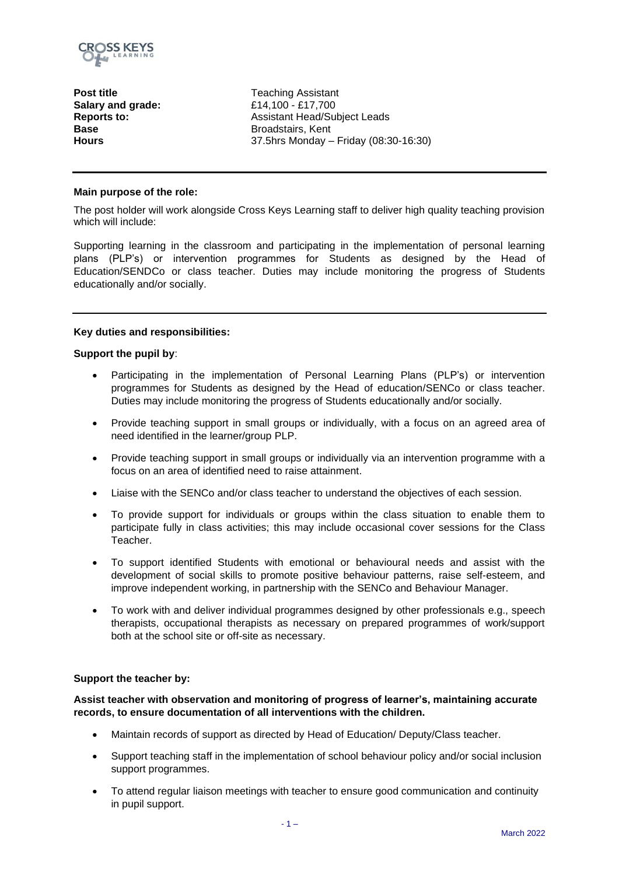

**Post title** Teaching Assistant **Salary and grade:** £14,100 - £17,700 **Reports to: Base Hours** 

Assistant Head/Subject Leads Broadstairs, Kent 37.5hrs Monday – Friday (08:30-16:30)

#### **Main purpose of the role:**

The post holder will work alongside Cross Keys Learning staff to deliver high quality teaching provision which will include:

Supporting learning in the classroom and participating in the implementation of personal learning plans (PLP's) or intervention programmes for Students as designed by the Head of Education/SENDCo or class teacher. Duties may include monitoring the progress of Students educationally and/or socially.

#### **Key duties and responsibilities:**

#### **Support the pupil by**:

- Participating in the implementation of Personal Learning Plans (PLP's) or intervention programmes for Students as designed by the Head of education/SENCo or class teacher. Duties may include monitoring the progress of Students educationally and/or socially.
- Provide teaching support in small groups or individually, with a focus on an agreed area of need identified in the learner/group PLP.
- Provide teaching support in small groups or individually via an intervention programme with a focus on an area of identified need to raise attainment.
- Liaise with the SENCo and/or class teacher to understand the objectives of each session.
- To provide support for individuals or groups within the class situation to enable them to participate fully in class activities; this may include occasional cover sessions for the Class Teacher.
- To support identified Students with emotional or behavioural needs and assist with the development of social skills to promote positive behaviour patterns, raise self-esteem, and improve independent working, in partnership with the SENCo and Behaviour Manager.
- To work with and deliver individual programmes designed by other professionals e.g., speech therapists, occupational therapists as necessary on prepared programmes of work/support both at the school site or off-site as necessary.

#### **Support the teacher by:**

**Assist teacher with observation and monitoring of progress of learner's, maintaining accurate records, to ensure documentation of all interventions with the children.**

- Maintain records of support as directed by Head of Education/ Deputy/Class teacher.
- Support teaching staff in the implementation of school behaviour policy and/or social inclusion support programmes.
- To attend regular liaison meetings with teacher to ensure good communication and continuity in pupil support.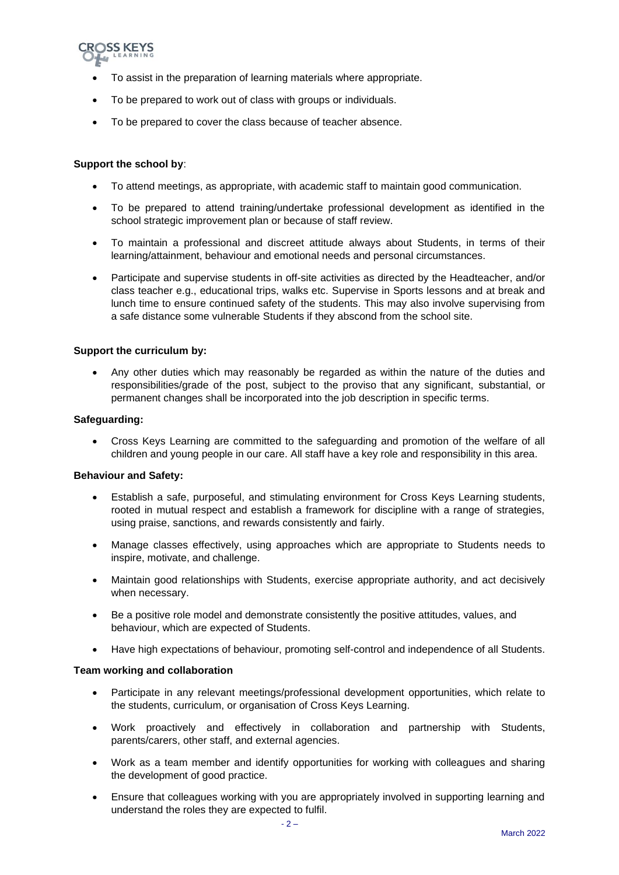

- To assist in the preparation of learning materials where appropriate.
- To be prepared to work out of class with groups or individuals.
- To be prepared to cover the class because of teacher absence.

## **Support the school by**:

- To attend meetings, as appropriate, with academic staff to maintain good communication.
- To be prepared to attend training/undertake professional development as identified in the school strategic improvement plan or because of staff review.
- To maintain a professional and discreet attitude always about Students, in terms of their learning/attainment, behaviour and emotional needs and personal circumstances.
- Participate and supervise students in off-site activities as directed by the Headteacher, and/or class teacher e.g., educational trips, walks etc. Supervise in Sports lessons and at break and lunch time to ensure continued safety of the students. This may also involve supervising from a safe distance some vulnerable Students if they abscond from the school site.

## **Support the curriculum by:**

• Any other duties which may reasonably be regarded as within the nature of the duties and responsibilities/grade of the post, subject to the proviso that any significant, substantial, or permanent changes shall be incorporated into the job description in specific terms.

#### **Safeguarding:**

• Cross Keys Learning are committed to the safeguarding and promotion of the welfare of all children and young people in our care. All staff have a key role and responsibility in this area.

#### **Behaviour and Safety:**

- Establish a safe, purposeful, and stimulating environment for Cross Keys Learning students, rooted in mutual respect and establish a framework for discipline with a range of strategies, using praise, sanctions, and rewards consistently and fairly.
- Manage classes effectively, using approaches which are appropriate to Students needs to inspire, motivate, and challenge.
- Maintain good relationships with Students, exercise appropriate authority, and act decisively when necessary.
- Be a positive role model and demonstrate consistently the positive attitudes, values, and behaviour, which are expected of Students.
- Have high expectations of behaviour, promoting self-control and independence of all Students.

#### **Team working and collaboration**

- Participate in any relevant meetings/professional development opportunities, which relate to the students, curriculum, or organisation of Cross Keys Learning.
- Work proactively and effectively in collaboration and partnership with Students, parents/carers, other staff, and external agencies.
- Work as a team member and identify opportunities for working with colleagues and sharing the development of good practice.
- Ensure that colleagues working with you are appropriately involved in supporting learning and understand the roles they are expected to fulfil.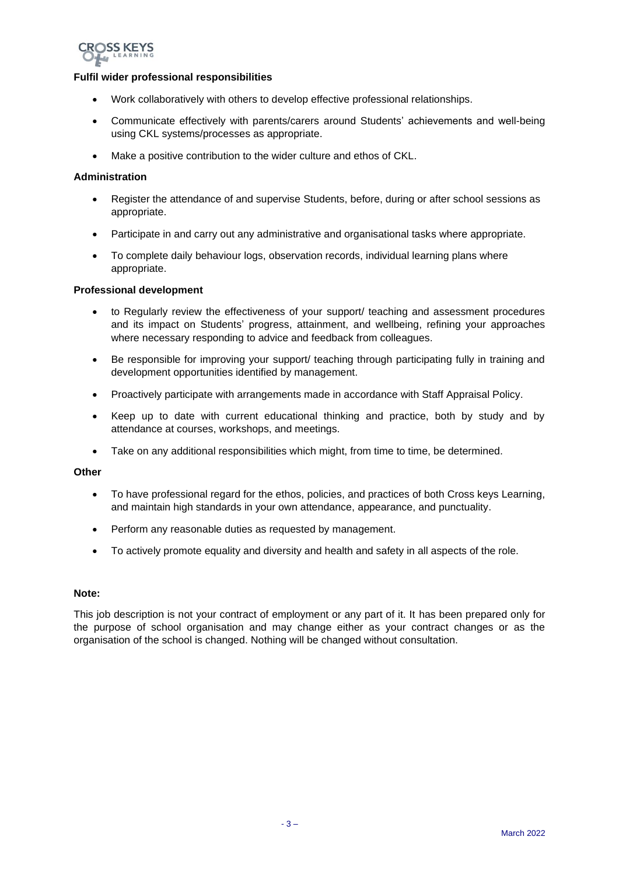

## **Fulfil wider professional responsibilities**

- Work collaboratively with others to develop effective professional relationships.
- Communicate effectively with parents/carers around Students' achievements and well-being using CKL systems/processes as appropriate.
- Make a positive contribution to the wider culture and ethos of CKL.

## **Administration**

- Register the attendance of and supervise Students, before, during or after school sessions as appropriate.
- Participate in and carry out any administrative and organisational tasks where appropriate.
- To complete daily behaviour logs, observation records, individual learning plans where appropriate.

#### **Professional development**

- to Regularly review the effectiveness of your support/ teaching and assessment procedures and its impact on Students' progress, attainment, and wellbeing, refining your approaches where necessary responding to advice and feedback from colleagues.
- Be responsible for improving your support/ teaching through participating fully in training and development opportunities identified by management.
- Proactively participate with arrangements made in accordance with Staff Appraisal Policy.
- Keep up to date with current educational thinking and practice, both by study and by attendance at courses, workshops, and meetings.
- Take on any additional responsibilities which might, from time to time, be determined.

#### **Other**

- To have professional regard for the ethos, policies, and practices of both Cross keys Learning, and maintain high standards in your own attendance, appearance, and punctuality.
- Perform any reasonable duties as requested by management.
- To actively promote equality and diversity and health and safety in all aspects of the role.

#### **Note:**

This iob description is not your contract of employment or any part of it. It has been prepared only for the purpose of school organisation and may change either as your contract changes or as the organisation of the school is changed. Nothing will be changed without consultation.